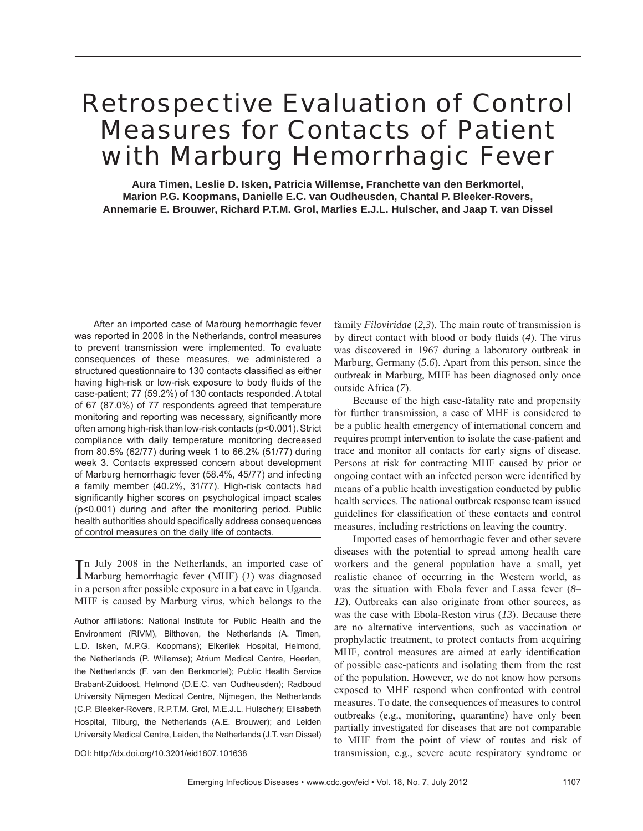# Retrospective Evaluation of Control Measures for Contacts of Patient with Marburg Hemorrhagic Fever

**Aura Timen, Leslie D. Isken, Patricia Willemse, Franchette van den Berkmortel, Marion P.G. Koopmans, Danielle E.C. van Oudheusden, Chantal P. Bleeker-Rovers, Annemarie E. Brouwer, Richard P.T.M. Grol, Marlies E.J.L. Hulscher, and Jaap T. van Dissel**

After an imported case of Marburg hemorrhagic fever was reported in 2008 in the Netherlands, control measures to prevent transmission were implemented. To evaluate consequences of these measures, we administered a structured questionnaire to 130 contacts classified as either having high-risk or low-risk exposure to body fluids of the case-patient; 77 (59.2%) of 130 contacts responded. A total of 67 (87.0%) of 77 respondents agreed that temperature monitoring and reporting was necessary, significantly more often among high-risk than low-risk contacts (p<0.001). Strict compliance with daily temperature monitoring decreased from 80.5% (62/77) during week 1 to 66.2% (51/77) during week 3. Contacts expressed concern about development of Marburg hemorrhagic fever (58.4%, 45/77) and infecting a family member (40.2%, 31/77). High-risk contacts had significantly higher scores on psychological impact scales (p<0.001) during and after the monitoring period. Public health authorities should specifically address consequences of control measures on the daily life of contacts.

In July 2008 in the Netherlands, an imported case of Marburg hemorrhagic fever (MHF) (*1*) was diagnosed n July 2008 in the Netherlands, an imported case of in a person after possible exposure in a bat cave in Uganda. MHF is caused by Marburg virus, which belongs to the

Author affiliations: National Institute for Public Health and the Environment (RIVM), Bilthoven, the Netherlands (A. Timen, L.D. Isken, M.P.G. Koopmans); Elkerliek Hospital, Helmond, the Netherlands (P. Willemse); Atrium Medical Centre, Heerlen, the Netherlands (F. van den Berkmortel); Public Health Service Brabant-Zuidoost, Helmond (D.E.C. van Oudheusden); Radboud University Nijmegen Medical Centre, Nijmegen, the Netherlands (C.P. Bleeker-Rovers, R.P.T.M. Grol, M.E.J.L. Hulscher); Elisabeth Hospital, Tilburg, the Netherlands (A.E. Brouwer); and Leiden University Medical Centre, Leiden, the Netherlands (J.T. van Dissel) family *Filoviridae* (*2*,*3*). The main route of transmission is by direct contact with blood or body fluids (4). The virus was discovered in 1967 during a laboratory outbreak in Marburg, Germany (*5*,*6*). Apart from this person, since the outbreak in Marburg, MHF has been diagnosed only once outside Africa (*7*).

Because of the high case-fatality rate and propensity for further transmission, a case of MHF is considered to be a public health emergency of international concern and requires prompt intervention to isolate the case-patient and trace and monitor all contacts for early signs of disease. Persons at risk for contracting MHF caused by prior or ongoing contact with an infected person were identified by means of a public health investigation conducted by public health services. The national outbreak response team issued guidelines for classification of these contacts and control measures, including restrictions on leaving the country.

Imported cases of hemorrhagic fever and other severe diseases with the potential to spread among health care workers and the general population have a small, yet realistic chance of occurring in the Western world, as was the situation with Ebola fever and Lassa fever (*8*– *12*). Outbreaks can also originate from other sources, as was the case with Ebola-Reston virus (*13*). Because there are no alternative interventions, such as vaccination or prophylactic treatment, to protect contacts from acquiring MHF, control measures are aimed at early identification of possible case-patients and isolating them from the rest of the population. However, we do not know how persons exposed to MHF respond when confronted with control measures. To date, the consequences of measures to control outbreaks (e.g., monitoring, quarantine) have only been partially investigated for diseases that are not comparable to MHF from the point of view of routes and risk of transmission, e.g., severe acute respiratory syndrome or

DOI: http://dx.doi.org/10.3201/eid1807.101638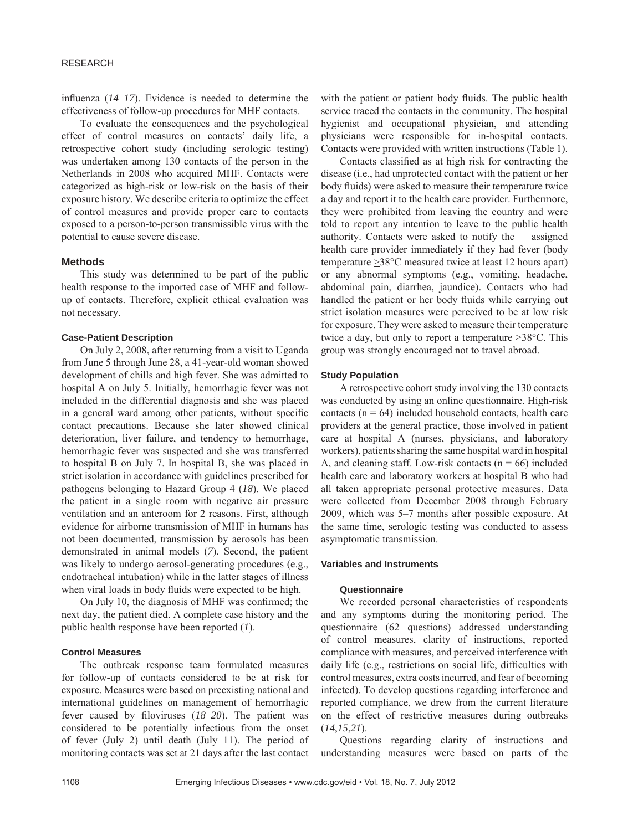influenza  $(14-17)$ . Evidence is needed to determine the effectiveness of follow-up procedures for MHF contacts.

To evaluate the consequences and the psychological effect of control measures on contacts' daily life, a retrospective cohort study (including serologic testing) was undertaken among 130 contacts of the person in the Netherlands in 2008 who acquired MHF. Contacts were categorized as high-risk or low-risk on the basis of their exposure history. We describe criteria to optimize the effect of control measures and provide proper care to contacts exposed to a person-to-person transmissible virus with the potential to cause severe disease.

# **Methods**

This study was determined to be part of the public health response to the imported case of MHF and followup of contacts. Therefore, explicit ethical evaluation was not necessary.

## **Case-Patient Description**

On July 2, 2008, after returning from a visit to Uganda from June 5 through June 28, a 41-year-old woman showed development of chills and high fever. She was admitted to hospital A on July 5. Initially, hemorrhagic fever was not included in the differential diagnosis and she was placed in a general ward among other patients, without specific contact precautions. Because she later showed clinical deterioration, liver failure, and tendency to hemorrhage, hemorrhagic fever was suspected and she was transferred to hospital B on July 7. In hospital B, she was placed in strict isolation in accordance with guidelines prescribed for pathogens belonging to Hazard Group 4 (*18*). We placed the patient in a single room with negative air pressure ventilation and an anteroom for 2 reasons. First, although evidence for airborne transmission of MHF in humans has not been documented, transmission by aerosols has been demonstrated in animal models (*7*). Second, the patient was likely to undergo aerosol-generating procedures (e.g., endotracheal intubation) while in the latter stages of illness when viral loads in body fluids were expected to be high.

On July 10, the diagnosis of MHF was confirmed; the next day, the patient died. A complete case history and the public health response have been reported (*1*).

# **Control Measures**

The outbreak response team formulated measures for follow-up of contacts considered to be at risk for exposure. Measures were based on preexisting national and international guidelines on management of hemorrhagic fever caused by filoviruses (18–20). The patient was considered to be potentially infectious from the onset of fever (July 2) until death (July 11). The period of monitoring contacts was set at 21 days after the last contact

with the patient or patient body fluids. The public health service traced the contacts in the community. The hospital hygienist and occupational physician, and attending physicians were responsible for in-hospital contacts. Contacts were provided with written instructions (Table 1).

Contacts classified as at high risk for contracting the disease (i.e., had unprotected contact with the patient or her body fluids) were asked to measure their temperature twice a day and report it to the health care provider. Furthermore, they were prohibited from leaving the country and were told to report any intention to leave to the public health authority. Contacts were asked to notify the assigned health care provider immediately if they had fever (body temperature >38°C measured twice at least 12 hours apart) or any abnormal symptoms (e.g., vomiting, headache, abdominal pain, diarrhea, jaundice). Contacts who had handled the patient or her body fluids while carrying out strict isolation measures were perceived to be at low risk for exposure. They were asked to measure their temperature twice a day, but only to report a temperature >38°C. This group was strongly encouraged not to travel abroad.

## **Study Population**

A retrospective cohort study involving the 130 contacts was conducted by using an online questionnaire. High-risk contacts ( $n = 64$ ) included household contacts, health care providers at the general practice, those involved in patient care at hospital A (nurses, physicians, and laboratory workers), patients sharing the same hospital ward in hospital A, and cleaning staff. Low-risk contacts ( $n = 66$ ) included health care and laboratory workers at hospital B who had all taken appropriate personal protective measures. Data were collected from December 2008 through February 2009, which was 5–7 months after possible exposure. At the same time, serologic testing was conducted to assess asymptomatic transmission.

# **Variables and Instruments**

# **Questionnaire**

We recorded personal characteristics of respondents and any symptoms during the monitoring period. The questionnaire (62 questions) addressed understanding of control measures, clarity of instructions, reported compliance with measures, and perceived interference with daily life (e.g., restrictions on social life, difficulties with control measures, extra costs incurred, and fear of becoming infected). To develop questions regarding interference and reported compliance, we drew from the current literature on the effect of restrictive measures during outbreaks (*14*,*15*,*21*).

Questions regarding clarity of instructions and understanding measures were based on parts of the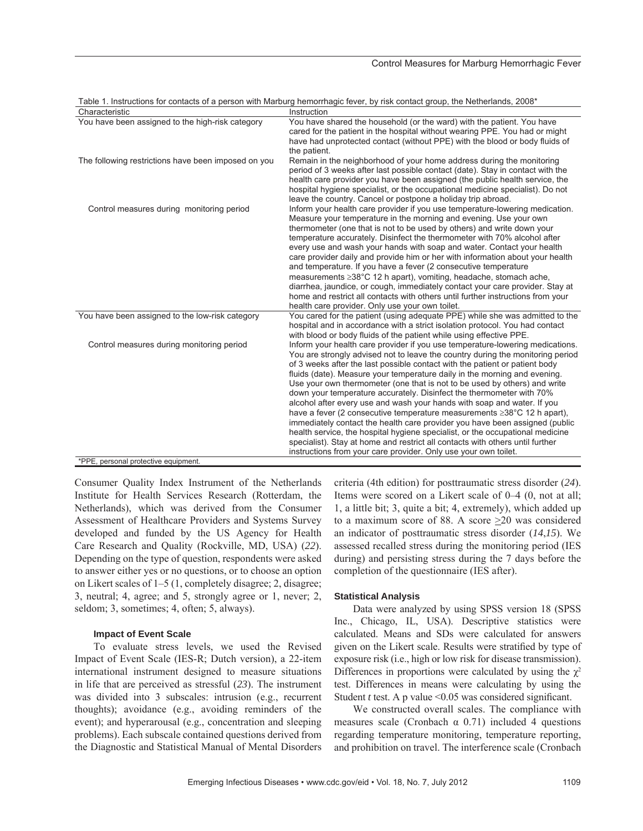| Characteristic                                      | Instruction                                                                                                                                                  |
|-----------------------------------------------------|--------------------------------------------------------------------------------------------------------------------------------------------------------------|
| You have been assigned to the high-risk category    | You have shared the household (or the ward) with the patient. You have<br>cared for the patient in the hospital without wearing PPE. You had or might        |
|                                                     | have had unprotected contact (without PPE) with the blood or body fluids of<br>the patient.                                                                  |
| The following restrictions have been imposed on you | Remain in the neighborhood of your home address during the monitoring<br>period of 3 weeks after last possible contact (date). Stay in contact with the      |
|                                                     | health care provider you have been assigned (the public health service, the<br>hospital hygiene specialist, or the occupational medicine specialist). Do not |
|                                                     | leave the country. Cancel or postpone a holiday trip abroad.                                                                                                 |
| Control measures during monitoring period           | Inform your health care provider if you use temperature-lowering medication.<br>Measure your temperature in the morning and evening. Use your own            |
|                                                     | thermometer (one that is not to be used by others) and write down your                                                                                       |
|                                                     | temperature accurately. Disinfect the thermometer with 70% alcohol after                                                                                     |
|                                                     | every use and wash your hands with soap and water. Contact your health                                                                                       |
|                                                     | care provider daily and provide him or her with information about your health<br>and temperature. If you have a fever (2 consecutive temperature             |
|                                                     | measurements $\geq$ 38°C 12 h apart), vomiting, headache, stomach ache,                                                                                      |
|                                                     | diarrhea, jaundice, or cough, immediately contact your care provider. Stay at                                                                                |
|                                                     | home and restrict all contacts with others until further instructions from your                                                                              |
|                                                     | health care provider. Only use your own toilet.                                                                                                              |
| You have been assigned to the low-risk category     | You cared for the patient (using adequate PPE) while she was admitted to the                                                                                 |
|                                                     | hospital and in accordance with a strict isolation protocol. You had contact<br>with blood or body fluids of the patient while using effective PPE.          |
| Control measures during monitoring period           | Inform your health care provider if you use temperature-lowering medications.                                                                                |
|                                                     | You are strongly advised not to leave the country during the monitoring period                                                                               |
|                                                     | of 3 weeks after the last possible contact with the patient or patient body                                                                                  |
|                                                     | fluids (date). Measure your temperature daily in the morning and evening.                                                                                    |
|                                                     | Use your own thermometer (one that is not to be used by others) and write<br>down your temperature accurately. Disinfect the thermometer with 70%            |
|                                                     | alcohol after every use and wash your hands with soap and water. If you                                                                                      |
|                                                     | have a fever (2 consecutive temperature measurements $\geq 38^{\circ}$ C 12 h apart),                                                                        |
|                                                     | immediately contact the health care provider you have been assigned (public                                                                                  |
|                                                     | health service, the hospital hygiene specialist, or the occupational medicine                                                                                |
|                                                     | specialist). Stay at home and restrict all contacts with others until further                                                                                |
| *PPE, personal protective equipment.                | instructions from your care provider. Only use your own toilet.                                                                                              |
|                                                     |                                                                                                                                                              |

Table 1. Instructions for contacts of a person with Marburg hemorrhagic fever, by risk contact group, the Netherlands, 2008\*

Consumer Quality Index Instrument of the Netherlands Institute for Health Services Research (Rotterdam, the Netherlands), which was derived from the Consumer Assessment of Healthcare Providers and Systems Survey developed and funded by the US Agency for Health Care Research and Quality (Rockville, MD, USA) (*22*). Depending on the type of question, respondents were asked to answer either yes or no questions, or to choose an option on Likert scales of 1–5 (1, completely disagree; 2, disagree; 3, neutral; 4, agree; and 5, strongly agree or 1, never; 2, seldom; 3, sometimes; 4, often; 5, always).

## **Impact of Event Scale**

To evaluate stress levels, we used the Revised Impact of Event Scale (IES-R; Dutch version), a 22-item international instrument designed to measure situations in life that are perceived as stressful (*23*). The instrument was divided into 3 subscales: intrusion (e.g., recurrent thoughts); avoidance (e.g., avoiding reminders of the event); and hyperarousal (e.g., concentration and sleeping problems). Each subscale contained questions derived from the Diagnostic and Statistical Manual of Mental Disorders

criteria (4th edition) for posttraumatic stress disorder (*24*). Items were scored on a Likert scale of 0–4 (0, not at all; 1, a little bit; 3, quite a bit; 4, extremely), which added up to a maximum score of 88. A score >20 was considered an indicator of posttraumatic stress disorder (*14*,*15*). We assessed recalled stress during the monitoring period (IES during) and persisting stress during the 7 days before the completion of the questionnaire (IES after).

## **Statistical Analysis**

Data were analyzed by using SPSS version 18 (SPSS Inc., Chicago, IL, USA). Descriptive statistics were calculated. Means and SDs were calculated for answers given on the Likert scale. Results were stratified by type of exposure risk (i.e., high or low risk for disease transmission). Differences in proportions were calculated by using the  $\chi^2$ test. Differences in means were calculating by using the Student  $t$  test. A p value  $\leq 0.05$  was considered significant.

We constructed overall scales. The compliance with measures scale (Cronbach  $\alpha$  0.71) included 4 questions regarding temperature monitoring, temperature reporting, and prohibition on travel. The interference scale (Cronbach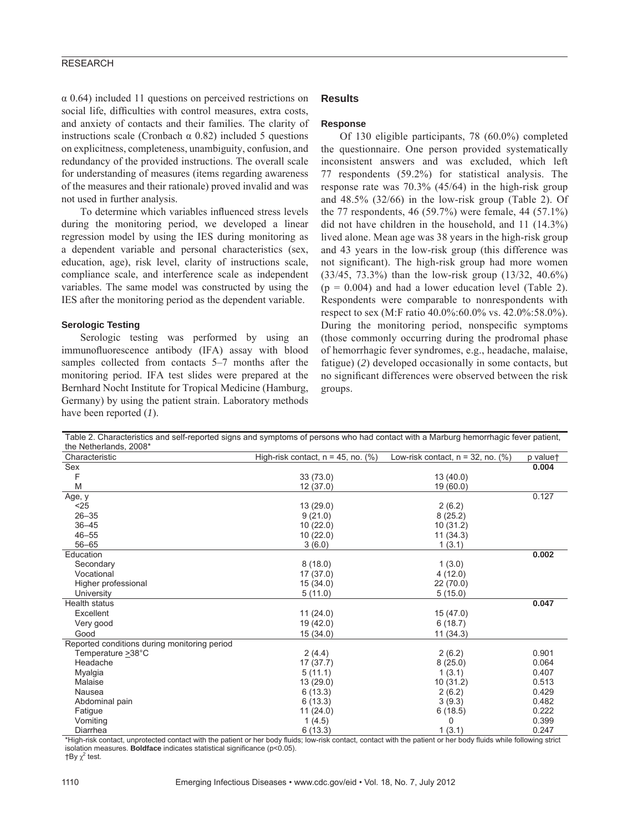α 0.64) included 11 questions on perceived restrictions on social life, difficulties with control measures, extra costs, and anxiety of contacts and their families. The clarity of instructions scale (Cronbach  $\alpha$  0.82) included 5 questions on explicitness, completeness, unambiguity, confusion, and redundancy of the provided instructions. The overall scale for understanding of measures (items regarding awareness of the measures and their rationale) proved invalid and was not used in further analysis.

To determine which variables influenced stress levels during the monitoring period, we developed a linear regression model by using the IES during monitoring as a dependent variable and personal characteristics (sex, education, age), risk level, clarity of instructions scale, compliance scale, and interference scale as independent variables. The same model was constructed by using the IES after the monitoring period as the dependent variable.

# **Serologic Testing**

Serologic testing was performed by using an immunofluorescence antibody (IFA) assay with blood samples collected from contacts 5–7 months after the monitoring period. IFA test slides were prepared at the Bernhard Nocht Institute for Tropical Medicine (Hamburg, Germany) by using the patient strain. Laboratory methods have been reported (*1*).

## **Results**

#### **Response**

Of 130 eligible participants, 78 (60.0%) completed the questionnaire. One person provided systematically inconsistent answers and was excluded, which left 77 respondents (59.2%) for statistical analysis. The response rate was 70.3% (45/64) in the high-risk group and 48.5% (32/66) in the low-risk group (Table 2). Of the 77 respondents, 46 (59.7%) were female, 44 (57.1%) did not have children in the household, and 11 (14.3%) lived alone. Mean age was 38 years in the high-risk group and 43 years in the low-risk group (this difference was not significant). The high-risk group had more women (33/45, 73.3%) than the low-risk group (13/32, 40.6%)  $(p = 0.004)$  and had a lower education level (Table 2). Respondents were comparable to nonrespondents with respect to sex (M:F ratio 40.0%:60.0% vs. 42.0%:58.0%). During the monitoring period, nonspecific symptoms (those commonly occurring during the prodromal phase of hemorrhagic fever syndromes, e.g., headache, malaise, fatigue) (*2*) developed occasionally in some contacts, but no significant differences were observed between the risk groups.

| the Netherlands, 2008*                       |                                          |                                         |          |
|----------------------------------------------|------------------------------------------|-----------------------------------------|----------|
| Characteristic                               | High-risk contact, $n = 45$ , no. $(\%)$ | Low-risk contact, $n = 32$ , no. $(\%)$ | p valuet |
| <b>Sex</b>                                   |                                          |                                         | 0.004    |
| F                                            | 33(73.0)                                 | 13(40.0)                                |          |
| M                                            | 12 (37.0)                                | 19 (60.0)                               |          |
| Age, y                                       |                                          |                                         | 0.127    |
| $25$                                         | 13 (29.0)                                | 2(6.2)                                  |          |
| $26 - 35$                                    | 9(21.0)                                  | 8(25.2)                                 |          |
| $36 - 45$                                    | 10(22.0)                                 | 10(31.2)                                |          |
| $46 - 55$                                    | 10(22.0)                                 | 11(34.3)                                |          |
| $56 - 65$                                    | 3(6.0)                                   | 1(3.1)                                  |          |
| Education                                    |                                          |                                         | 0.002    |
| Secondary                                    | 8(18.0)                                  | 1(3.0)                                  |          |
| Vocational                                   | 17(37.0)                                 | 4(12.0)                                 |          |
| Higher professional                          | 15(34.0)                                 | 22(70.0)                                |          |
| University                                   | 5(11.0)                                  | 5(15.0)                                 |          |
| Health status                                |                                          |                                         | 0.047    |
| Excellent                                    | 11(24.0)                                 | 15(47.0)                                |          |
| Very good                                    | 19 (42.0)                                | 6(18.7)                                 |          |
| Good                                         | 15 (34.0)                                | 11(34.3)                                |          |
| Reported conditions during monitoring period |                                          |                                         |          |
| Temperature >38°C                            | 2(4.4)                                   | 2(6.2)                                  | 0.901    |
| Headache                                     | 17(37.7)                                 | 8(25.0)                                 | 0.064    |
| Myalgia                                      | 5(11.1)                                  | 1(3.1)                                  | 0.407    |
| Malaise                                      | 13 (29.0)                                | 10(31.2)                                | 0.513    |
| Nausea                                       | 6(13.3)                                  | 2(6.2)                                  | 0.429    |
| Abdominal pain                               | 6(13.3)                                  | 3(9.3)                                  | 0.482    |
| Fatigue                                      | 11(24.0)                                 | 6(18.5)                                 | 0.222    |
| Vomiting                                     | 1(4.5)                                   | 0                                       | 0.399    |
| Diarrhea                                     | 6(13.3)                                  | 1(3.1)                                  | 0.247    |

Table 2. Characteristics and self-reported signs and symptoms of persons who had contact with a Marburg hemorrhagic fever patient, the Netherlands, 2008\*

\*High-risk contact, unprotected contact with the patient or her body fluids; low-risk contact, contact with the patient or her body fluids while following strict isolation measures. **Boldface** indicates statistical significance (p<0.05).

 $\dagger$ By  $\chi^2$  test.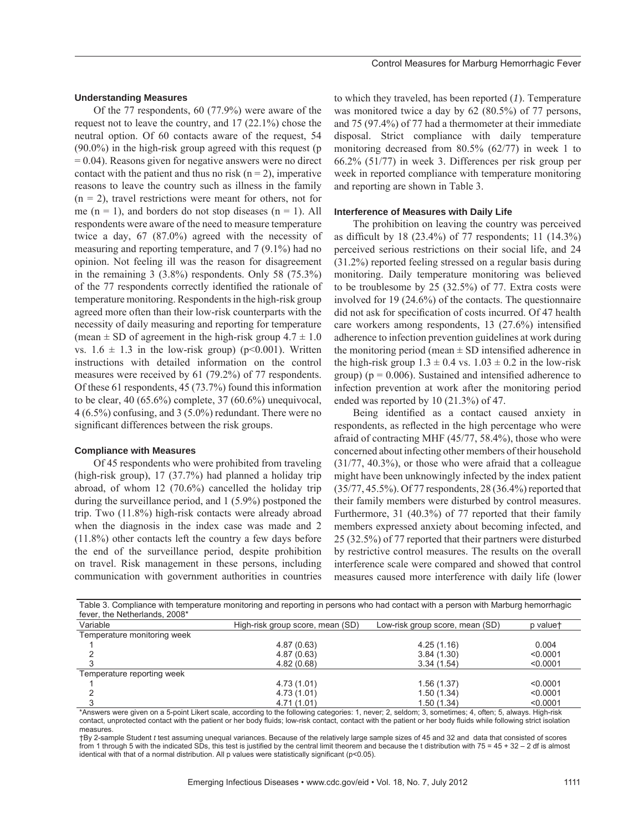# **Understanding Measures**

Of the 77 respondents, 60 (77.9%) were aware of the request not to leave the country, and 17 (22.1%) chose the neutral option. Of 60 contacts aware of the request, 54 (90.0%) in the high-risk group agreed with this request (p  $= 0.04$ ). Reasons given for negative answers were no direct contact with the patient and thus no risk ( $n = 2$ ), imperative reasons to leave the country such as illness in the family  $(n = 2)$ , travel restrictions were meant for others, not for me  $(n = 1)$ , and borders do not stop diseases  $(n = 1)$ . All respondents were aware of the need to measure temperature twice a day, 67 (87.0%) agreed with the necessity of measuring and reporting temperature, and 7 (9.1%) had no opinion. Not feeling ill was the reason for disagreement in the remaining 3 (3.8%) respondents. Only 58 (75.3%) of the 77 respondents correctly identified the rationale of temperature monitoring. Respondents in the high-risk group agreed more often than their low-risk counterparts with the necessity of daily measuring and reporting for temperature (mean  $\pm$  SD of agreement in the high-risk group 4.7  $\pm$  1.0 vs.  $1.6 \pm 1.3$  in the low-risk group) (p<0.001). Written instructions with detailed information on the control measures were received by 61 (79.2%) of 77 respondents. Of these 61 respondents, 45 (73.7%) found this information to be clear, 40 (65.6%) complete, 37 (60.6%) unequivocal, 4 (6.5%) confusing, and 3 (5.0%) redundant. There were no significant differences between the risk groups.

#### **Compliance with Measures**

Of 45 respondents who were prohibited from traveling (high-risk group), 17 (37.7%) had planned a holiday trip abroad, of whom 12 (70.6%) cancelled the holiday trip during the surveillance period, and 1 (5.9%) postponed the trip. Two (11.8%) high-risk contacts were already abroad when the diagnosis in the index case was made and 2 (11.8%) other contacts left the country a few days before the end of the surveillance period, despite prohibition on travel. Risk management in these persons, including communication with government authorities in countries

to which they traveled, has been reported (*1*). Temperature was monitored twice a day by 62 (80.5%) of 77 persons, and 75 (97.4%) of 77 had a thermometer at their immediate disposal. Strict compliance with daily temperature monitoring decreased from 80.5% (62/77) in week 1 to 66.2% (51/77) in week 3. Differences per risk group per week in reported compliance with temperature monitoring and reporting are shown in Table 3.

# **Interference of Measures with Daily Life**

The prohibition on leaving the country was perceived as difficult by 18 (23.4%) of 77 respondents; 11 (14.3%) perceived serious restrictions on their social life, and 24 (31.2%) reported feeling stressed on a regular basis during monitoring. Daily temperature monitoring was believed to be troublesome by 25 (32.5%) of 77. Extra costs were involved for 19 (24.6%) of the contacts. The questionnaire did not ask for specification of costs incurred. Of 47 health care workers among respondents,  $13$   $(27.6%)$  intensified adherence to infection prevention guidelines at work during the monitoring period (mean  $\pm$  SD intensified adherence in the high-risk group  $1.3 \pm 0.4$  vs.  $1.03 \pm 0.2$  in the low-risk group) ( $p = 0.006$ ). Sustained and intensified adherence to infection prevention at work after the monitoring period ended was reported by 10 (21.3%) of 47.

Being identified as a contact caused anxiety in respondents, as reflected in the high percentage who were afraid of contracting MHF (45/77, 58.4%), those who were concerned about infecting other members of their household (31/77, 40.3%), or those who were afraid that a colleague might have been unknowingly infected by the index patient (35/77, 45.5%). Of 77 respondents, 28 (36.4%) reported that their family members were disturbed by control measures. Furthermore, 31 (40.3%) of 77 reported that their family members expressed anxiety about becoming infected, and 25 (32.5%) of 77 reported that their partners were disturbed by restrictive control measures. The results on the overall interference scale were compared and showed that control measures caused more interference with daily life (lower

|                               | Table 3. Compliance with temperature monitoring and reporting in persons who had contact with a person with Marburg hemorrhagic |                                 |          |  |
|-------------------------------|---------------------------------------------------------------------------------------------------------------------------------|---------------------------------|----------|--|
| fever, the Netherlands, 2008* |                                                                                                                                 |                                 |          |  |
| Variable                      | High-risk group score, mean (SD)                                                                                                | Low-risk group score, mean (SD) | p valuet |  |
| Temperature monitoring week   |                                                                                                                                 |                                 |          |  |
|                               | 4.87(0.63)                                                                                                                      | 4.25(1.16)                      | 0.004    |  |
|                               | 4.87(0.63)                                                                                                                      | 3.84(1.30)                      | < 0.0001 |  |
|                               | 4.82 (0.68)                                                                                                                     | 3.34(1.54)                      | < 0.0001 |  |
| Temperature reporting week    |                                                                                                                                 |                                 |          |  |
|                               | 4.73 (1.01)                                                                                                                     | 1.56(1.37)                      | < 0.0001 |  |
|                               | 4.73 (1.01)                                                                                                                     | 1.50(1.34)                      | < 0.0001 |  |
|                               | 4.71 (1.01)                                                                                                                     | 1.50(1.34)                      | < 0.0001 |  |

\*Answers were given on a 5-point Likert scale, according to the following categories: 1, never; 2, seldom; 3, sometimes; 4, often; 5, always. High-risk contact, unprotected contact with the patient or her body fluids; low-risk contact, contact with the patient or her body fluids while following strict isolation measures.

†By 2-sample Student *t* test assuming unequal variances. Because of the relatively large sample sizes of 45 and 32 and data that consisted of scores from 1 through 5 with the indicated SDs, this test is justified by the central limit theorem and because the t distribution with  $75 = 45 + 32 - 2$  df is almost identical with that of a normal distribution. All p values were statistically significant (p<0.05).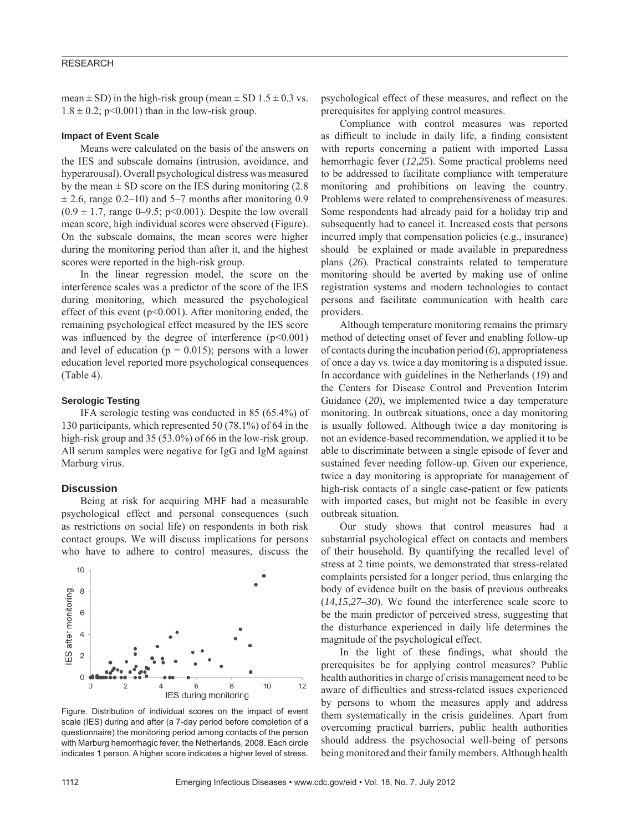mean  $\pm$  SD) in the high-risk group (mean  $\pm$  SD 1.5  $\pm$  0.3 vs.  $1.8 \pm 0.2$ ; p<0.001) than in the low-risk group.

# **Impact of Event Scale**

Means were calculated on the basis of the answers on the IES and subscale domains (intrusion, avoidance, and hyperarousal). Overall psychological distress was measured by the mean  $\pm$  SD score on the IES during monitoring (2.8)  $\pm$  2.6, range 0.2–10) and 5–7 months after monitoring 0.9  $(0.9 \pm 1.7, \text{ range } 0-9.5; \text{ p} < 0.001)$ . Despite the low overall mean score, high individual scores were observed (Figure). On the subscale domains, the mean scores were higher during the monitoring period than after it, and the highest scores were reported in the high-risk group.

In the linear regression model, the score on the interference scales was a predictor of the score of the IES during monitoring, which measured the psychological effect of this event ( $p<0.001$ ). After monitoring ended, the remaining psychological effect measured by the IES score was influenced by the degree of interference  $(p<0.001)$ and level of education ( $p = 0.015$ ); persons with a lower education level reported more psychological consequences (Table 4).

#### **Serologic Testing**

IFA serologic testing was conducted in 85 (65.4%) of 130 participants, which represented 50 (78.1%) of 64 in the high-risk group and 35 (53.0%) of 66 in the low-risk group. All serum samples were negative for IgG and IgM against Marburg virus.

## **Discussion**

Being at risk for acquiring MHF had a measurable psychological effect and personal consequences (such as restrictions on social life) on respondents in both risk contact groups. We will discuss implications for persons who have to adhere to control measures, discuss the



Figure. Distribution of individual scores on the impact of event scale (IES) during and after (a 7-day period before completion of a questionnaire) the monitoring period among contacts of the person with Marburg hemorrhagic fever, the Netherlands, 2008. Each circle indicates 1 person. A higher score indicates a higher level of stress.

psychological effect of these measures, and reflect on the prerequisites for applying control measures.

Compliance with control measures was reported as difficult to include in daily life, a finding consistent with reports concerning a patient with imported Lassa hemorrhagic fever (*12*,*25*). Some practical problems need to be addressed to facilitate compliance with temperature monitoring and prohibitions on leaving the country. Problems were related to comprehensiveness of measures. Some respondents had already paid for a holiday trip and subsequently had to cancel it. Increased costs that persons incurred imply that compensation policies (e.g., insurance) should be explained or made available in preparedness plans (*26*). Practical constraints related to temperature monitoring should be averted by making use of online registration systems and modern technologies to contact persons and facilitate communication with health care providers.

Although temperature monitoring remains the primary method of detecting onset of fever and enabling follow-up of contacts during the incubation period (*6*), appropriateness of once a day vs. twice a day monitoring is a disputed issue. In accordance with guidelines in the Netherlands (*19*) and the Centers for Disease Control and Prevention Interim Guidance (*20*), we implemented twice a day temperature monitoring. In outbreak situations, once a day monitoring is usually followed. Although twice a day monitoring is not an evidence-based recommendation, we applied it to be able to discriminate between a single episode of fever and sustained fever needing follow-up. Given our experience, twice a day monitoring is appropriate for management of high-risk contacts of a single case-patient or few patients with imported cases, but might not be feasible in every outbreak situation.

Our study shows that control measures had a substantial psychological effect on contacts and members of their household. By quantifying the recalled level of stress at 2 time points, we demonstrated that stress-related complaints persisted for a longer period, thus enlarging the body of evidence built on the basis of previous outbreaks (*14*,*15*,*27*–*30*). We found the interference scale score to be the main predictor of perceived stress, suggesting that the disturbance experienced in daily life determines the magnitude of the psychological effect.

In the light of these findings, what should the prerequisites be for applying control measures? Public health authorities in charge of crisis management need to be aware of difficulties and stress-related issues experienced by persons to whom the measures apply and address them systematically in the crisis guidelines. Apart from overcoming practical barriers, public health authorities should address the psychosocial well-being of persons being monitored and their family members. Although health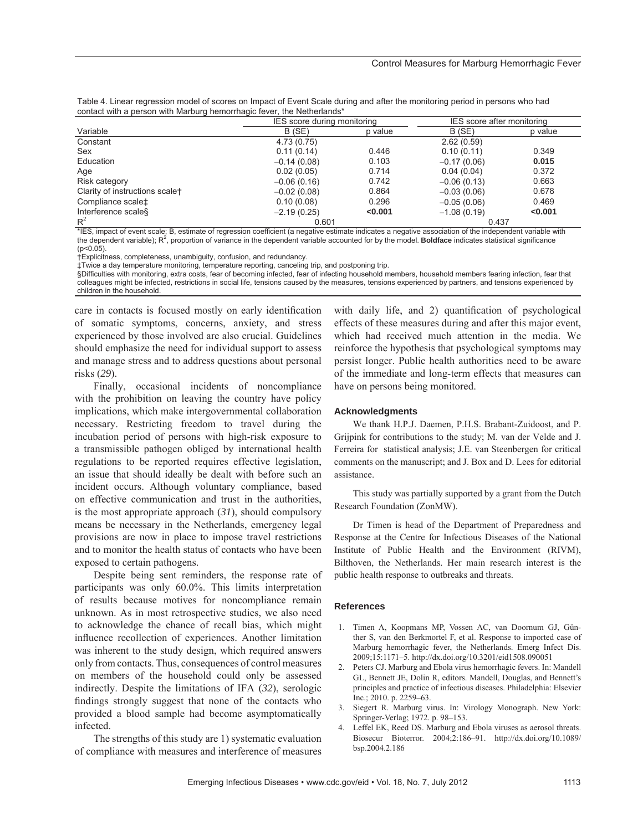|                                | IES score during monitoring |         | IES score after monitoring |         |
|--------------------------------|-----------------------------|---------|----------------------------|---------|
| Variable                       | B (SE)                      | p value | B (SE)                     | p value |
| Constant                       | 4.73(0.75)                  |         | 2.62(0.59)                 |         |
| Sex                            | 0.11(0.14)                  | 0.446   | 0.10(0.11)                 | 0.349   |
| Education                      | $-0.14(0.08)$               | 0.103   | $-0.17(0.06)$              | 0.015   |
| Age                            | 0.02(0.05)                  | 0.714   | 0.04(0.04)                 | 0.372   |
| Risk category                  | $-0.06(0.16)$               | 0.742   | $-0.06(0.13)$              | 0.663   |
| Clarity of instructions scalet | $-0.02(0.08)$               | 0.864   | $-0.03(0.06)$              | 0.678   |
| Compliance scale‡              | 0.10(0.08)                  | 0.296   | $-0.05(0.06)$              | 0.469   |
| Interference scale§            | $-2.19(0.25)$               | < 0.001 | $-1.08(0.19)$              | < 0.001 |
| $R^2$                          | 0.601                       |         | 0.437                      |         |

Table 4. Linear regression model of scores on Impact of Event Scale during and after the monitoring period in persons who had contact with a person with Marburg hemorrhagic fever, the Netherlands\*

\*IES, impact of event scale; B, estimate of regression coefficient (a negative estimate indicates a negative association of the independent variable with the dependent variable); R<sup>2</sup>, proportion of variance in the dependent variable accounted for by the model. Boldface indicates statistical significance (p<0.05).

†Explicitness, completeness, unambiguity, confusion, and redundancy.

‡Twice a day temperature monitoring, temperature reporting, canceling trip, and postponing trip.

§Difficulties with monitoring, extra costs, fear of becoming infected, fear of infecting household members, household members fearing infection, fear that colleagues might be infected, restrictions in social life, tensions caused by the measures, tensions experienced by partners, and tensions experienced by children in the household.

care in contacts is focused mostly on early identification of somatic symptoms, concerns, anxiety, and stress experienced by those involved are also crucial. Guidelines should emphasize the need for individual support to assess and manage stress and to address questions about personal risks (*29*).

Finally, occasional incidents of noncompliance with the prohibition on leaving the country have policy implications, which make intergovernmental collaboration necessary. Restricting freedom to travel during the incubation period of persons with high-risk exposure to a transmissible pathogen obliged by international health regulations to be reported requires effective legislation, an issue that should ideally be dealt with before such an incident occurs. Although voluntary compliance, based on effective communication and trust in the authorities, is the most appropriate approach (*31*), should compulsory means be necessary in the Netherlands, emergency legal provisions are now in place to impose travel restrictions and to monitor the health status of contacts who have been exposed to certain pathogens.

Despite being sent reminders, the response rate of participants was only 60.0%. This limits interpretation of results because motives for noncompliance remain unknown. As in most retrospective studies, we also need to acknowledge the chance of recall bias, which might influence recollection of experiences. Another limitation was inherent to the study design, which required answers only from contacts. Thus, consequences of control measures on members of the household could only be assessed indirectly. Despite the limitations of IFA (*32*), serologic findings strongly suggest that none of the contacts who provided a blood sample had become asymptomatically infected.

The strengths of this study are 1) systematic evaluation of compliance with measures and interference of measures

with daily life, and 2) quantification of psychological effects of these measures during and after this major event, which had received much attention in the media. We reinforce the hypothesis that psychological symptoms may persist longer. Public health authorities need to be aware of the immediate and long-term effects that measures can have on persons being monitored.

## **Acknowledgments**

We thank H.P.J. Daemen, P.H.S. Brabant-Zuidoost, and P. Grijpink for contributions to the study; M. van der Velde and J. Ferreira for statistical analysis; J.E. van Steenbergen for critical comments on the manuscript; and J. Box and D. Lees for editorial assistance.

This study was partially supported by a grant from the Dutch Research Foundation (ZonMW).

Dr Timen is head of the Department of Preparedness and Response at the Centre for Infectious Diseases of the National Institute of Public Health and the Environment (RIVM), Bilthoven, the Netherlands. Her main research interest is the public health response to outbreaks and threats.

## **References**

- 1. Timen A, Koopmans MP, Vossen AC, van Doornum GJ, Günther S, van den Berkmortel F, et al. Response to imported case of Marburg hemorrhagic fever, the Netherlands. Emerg Infect Dis. 2009;15:1171–5. http://dx.doi.org/10.3201/eid1508.090051
- 2. Peters CJ. Marburg and Ebola virus hemorrhagic fevers. In: Mandell GL, Bennett JE, Dolin R, editors. Mandell, Douglas, and Bennett's principles and practice of infectious diseases. Philadelphia: Elsevier Inc.; 2010. p. 2259–63.
- 3. Siegert R. Marburg virus. In: Virology Monograph. New York: Springer-Verlag; 1972. p. 98–153.
- 4. Leffel EK, Reed DS. Marburg and Ebola viruses as aerosol threats. Biosecur Bioterror. 2004;2:186–91. http://dx.doi.org/10.1089/ bsp.2004.2.186